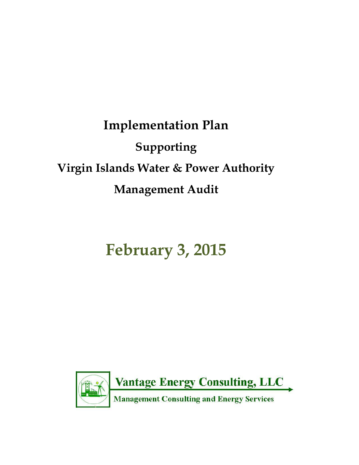# **Implementation Plan Supporting Virgin Islands Water & Power Authority Management Audit**

# **February 3, 2015**

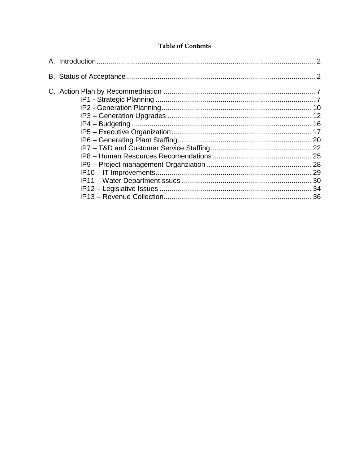#### **Table of Contents**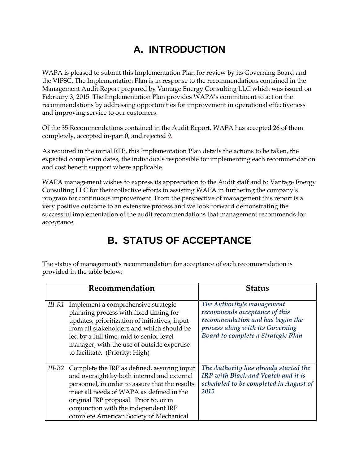# **A. INTRODUCTION**

WAPA is pleased to submit this Implementation Plan for review by its Governing Board and the VIPSC. The Implementation Plan is in response to the recommendations contained in the Management Audit Report prepared by Vantage Energy Consulting LLC which was issued on February 3, 2015. The Implementation Plan provides WAPA's commitment to act on the recommendations by addressing opportunities for improvement in operational effectiveness and improving service to our customers.

Of the 35 Recommendations contained in the Audit Report, WAPA has accepted 26 of them completely, accepted in-part 0, and rejected 9.

As required in the initial RFP, this Implementation Plan details the actions to be taken, the expected completion dates, the individuals responsible for implementing each recommendation and cost benefit support where applicable.

WAPA management wishes to express its appreciation to the Audit staff and to Vantage Energy Consulting LLC for their collective efforts in assisting WAPA in furthering the company's program for continuous improvement. From the perspective of management this report is a very positive outcome to an extensive process and we look forward demonstrating the successful implementation of the audit recommendations that management recommends for acceptance.

# **B. STATUS OF ACCEPTANCE**

The status of management's recommendation for acceptance of each recommendation is provided in the table below:

|          | Recommendation                                                                                                                                                                                                                                                                                                        | <b>Status</b>                                                                                                                                                             |
|----------|-----------------------------------------------------------------------------------------------------------------------------------------------------------------------------------------------------------------------------------------------------------------------------------------------------------------------|---------------------------------------------------------------------------------------------------------------------------------------------------------------------------|
|          | III-R1 Implement a comprehensive strategic<br>planning process with fixed timing for<br>updates, prioritization of initiatives, input<br>from all stakeholders and which should be<br>led by a full time, mid to senior level<br>manager, with the use of outside expertise<br>to facilitate. (Priority: High)        | The Authority's management<br>recommends acceptance of this<br>recommendation and has begun the<br>process along with its Governing<br>Board to complete a Strategic Plan |
| $III-R2$ | Complete the IRP as defined, assuring input<br>and oversight by both internal and external<br>personnel, in order to assure that the results<br>meet all needs of WAPA as defined in the<br>original IRP proposal. Prior to, or in<br>conjunction with the independent IRP<br>complete American Society of Mechanical | The Authority has already started the<br>IRP with Black and Veatch and it is<br>scheduled to be completed in August of<br>2015                                            |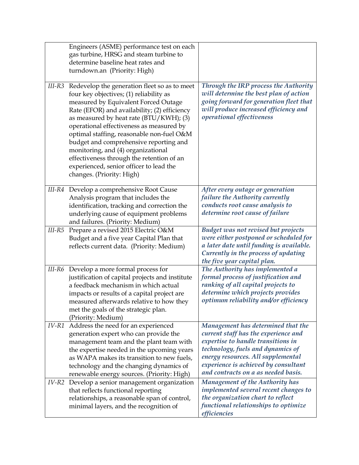|        | Engineers (ASME) performance test on each<br>gas turbine, HRSG and steam turbine to<br>determine baseline heat rates and<br>turndown.an (Priority: High)                                                                                                                                                                                                                                                                                                                                                                 |                                                                                                                                                                                                                                                                            |
|--------|--------------------------------------------------------------------------------------------------------------------------------------------------------------------------------------------------------------------------------------------------------------------------------------------------------------------------------------------------------------------------------------------------------------------------------------------------------------------------------------------------------------------------|----------------------------------------------------------------------------------------------------------------------------------------------------------------------------------------------------------------------------------------------------------------------------|
| III-R3 | Redevelop the generation fleet so as to meet<br>four key objectives; (1) reliability as<br>measured by Equivalent Forced Outage<br>Rate (EFOR) and availability; (2) efficiency<br>as measured by heat rate (BTU/KWH); (3)<br>operational effectiveness as measured by<br>optimal staffing, reasonable non-fuel O&M<br>budget and comprehensive reporting and<br>monitoring, and (4) organizational<br>effectiveness through the retention of an<br>experienced, senior officer to lead the<br>changes. (Priority: High) | Through the IRP process the Authority<br>will determine the best plan of action<br>going forward for generation fleet that<br>will produce increased efficiency and<br>operational effectiveness                                                                           |
|        | III-R4 Develop a comprehensive Root Cause<br>Analysis program that includes the<br>identification, tracking and correction the<br>underlying cause of equipment problems<br>and failures. (Priority: Medium)                                                                                                                                                                                                                                                                                                             | After every outage or generation<br>failure the Authority currently<br>conducts root cause analysis to<br>determine root cause of failure                                                                                                                                  |
| III-R5 | Prepare a revised 2015 Electric O&M<br>Budget and a five year Capital Plan that<br>reflects current data. (Priority: Medium)                                                                                                                                                                                                                                                                                                                                                                                             | Budget was not revised but projects<br>were either postponed or scheduled for<br>a later date until funding is available.<br>Currently in the process of updating<br>the five year capital plan.                                                                           |
|        | III-R6 Develop a more formal process for<br>justification of capital projects and institute<br>a feedback mechanism in which actual<br>impacts or results of a capital project are<br>measured afterwards relative to how they<br>met the goals of the strategic plan.<br>(Priority: Medium)                                                                                                                                                                                                                             | The Authority has implemented a<br>formal process of justification and<br>ranking of all capital projects to<br>determine which projects provides<br>optimum reliability and/or efficiency                                                                                 |
|        | IV-R1 Address the need for an experienced<br>generation expert who can provide the<br>management team and the plant team with<br>the expertise needed in the upcoming years<br>as WAPA makes its transition to new fuels,<br>technology and the changing dynamics of<br>renewable energy sources. (Priority: High)                                                                                                                                                                                                       | Management has determined that the<br>current staff has the experience and<br>expertise to handle transitions in<br>technology, fuels and dynamics of<br>energy resources. All supplemental<br>experience is achieved by consultant<br>and contracts on a as needed basis. |
|        | IV-R2 Develop a senior management organization<br>that reflects functional reporting<br>relationships, a reasonable span of control,<br>minimal layers, and the recognition of                                                                                                                                                                                                                                                                                                                                           | <b>Management of the Authority has</b><br>implemented several recent changes to<br>the organization chart to reflect<br>functional relationships to optimize<br>efficiencies                                                                                               |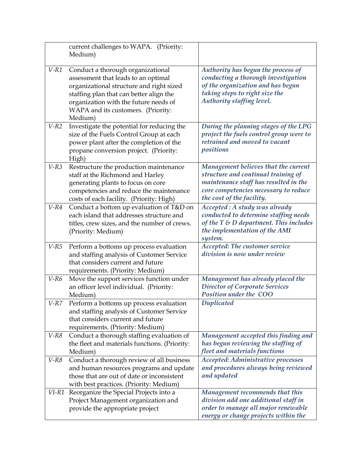|         | current challenges to WAPA. (Priority:<br>Medium)                                    |                                                                              |
|---------|--------------------------------------------------------------------------------------|------------------------------------------------------------------------------|
| $V$ -R1 | Conduct a thorough organizational                                                    | Authority has begun the process of                                           |
|         | assessment that leads to an optimal                                                  | conducting a thorough investigation                                          |
|         | organizational structure and right sized                                             | of the organization and has begun                                            |
|         | staffing plan that can better align the                                              | taking steps to right size the                                               |
|         | organization with the future needs of                                                | Authority staffing level.                                                    |
|         | WAPA and its customers. (Priority:                                                   |                                                                              |
|         | Medium)                                                                              |                                                                              |
| $V-R2$  | Investigate the potential for reducing the                                           | During the planning stages of the LPG                                        |
|         | size of the Fuels Control Group at each                                              | project the fuels control group were to                                      |
|         | power plant after the completion of the                                              | retrained and moved to vacant                                                |
|         | propane conversion project. (Priority:                                               | positions                                                                    |
|         | High)                                                                                |                                                                              |
| $V-R3$  | Restructure the production maintenance                                               | Management believes that the current                                         |
|         | staff at the Richmond and Harley                                                     | structure and continual training of<br>maintenance staff has resulted in the |
|         | generating plants to focus on core<br>competencies and reduce the maintenance        | core competencies necessary to reduce                                        |
|         | costs of each facility. (Priority: High)                                             | the cost of the facility.                                                    |
| $V-R4$  | Conduct a bottom up evaluation of T&D on                                             | Accepted : A study was already                                               |
|         | each island that addresses structure and                                             | conducted to determine staffing needs                                        |
|         | titles, crew sizes, and the number of crews.                                         | of the $T \& D$ department. This includes                                    |
|         | (Priority: Medium)                                                                   | the implementation of the AMI                                                |
|         |                                                                                      | system.                                                                      |
| $V$ -R5 | Perform a bottoms up process evaluation                                              | Accepted: The customer service                                               |
|         | and staffing analysis of Customer Service                                            | division is now under review                                                 |
|         | that considers current and future                                                    |                                                                              |
|         | requirements. (Priority: Medium)                                                     |                                                                              |
| $V-R6$  | Move the support services function under                                             | Management has already placed the                                            |
|         | an officer level individual. (Priority:                                              | <b>Director of Corporate Services</b><br>Position under the COO              |
| $V-RZ$  | Medium)                                                                              |                                                                              |
|         | Perform a bottoms up process evaluation<br>and staffing analysis of Customer Service | <b>Duplicated</b>                                                            |
|         | that considers current and future                                                    |                                                                              |
|         | requirements. (Priority: Medium)                                                     |                                                                              |
| $V-R8$  | Conduct a thorough staffing evaluation of                                            | Management accepted this finding and                                         |
|         | the fleet and materials functions. (Priority:                                        | has begun reviewing the staffing of                                          |
|         | Medium)                                                                              | fleet and materials functions                                                |
| $V-R8$  | Conduct a thorough review of all business                                            | Accepted: Administrative processes                                           |
|         | and human resources programs and update                                              | and procedures always being reviewed                                         |
|         | those that are out of date or inconsistent                                           | and updated                                                                  |
|         | with best practices. (Priority: Medium)                                              |                                                                              |
|         | VI-R1 Reorganize the Special Projects into a                                         | Management recommends that this                                              |
|         | Project Management organization and                                                  | division add one additional staff in                                         |
|         | provide the appropriate project                                                      | order to manage all major renewable                                          |
|         |                                                                                      | energy or change projects within the                                         |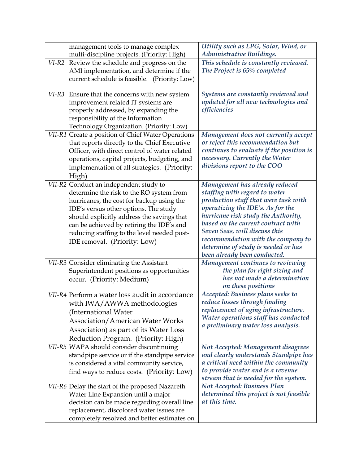| management tools to manage complex                 | Utility such as LPG, Solar, Wind, or                                      |
|----------------------------------------------------|---------------------------------------------------------------------------|
| multi-discipline projects. (Priority: High)        | <b>Administrative Buildings.</b>                                          |
| Review the schedule and progress on the<br>VI-R2   | This schedule is constantly reviewed.                                     |
| AMI implementation, and determine if the           | The Project is 65% completed                                              |
| current schedule is feasible. (Priority: Low)      |                                                                           |
| VI-R3 Ensure that the concerns with new system     | Systems are constantly reviewed and                                       |
| improvement related IT systems are                 | updated for all new technologies and                                      |
| properly addressed, by expanding the               | efficiencies                                                              |
| responsibility of the Information                  |                                                                           |
| Technology Organization. (Priority: Low)           |                                                                           |
| VII-R1 Create a position of Chief Water Operations | Management does not currently accept                                      |
| that reports directly to the Chief Executive       | or reject this recommendation but                                         |
| Officer, with direct control of water related      | continues to evaluate if the position is                                  |
| operations, capital projects, budgeting, and       | necessary. Currently the Water                                            |
| implementation of all strategies. (Priority:       | divisions report to the COO                                               |
| High)                                              |                                                                           |
| VII-R2 Conduct an independent study to             | Management has already reduced                                            |
| determine the risk to the RO system from           | staffing with regard to water                                             |
| hurricanes, the cost for backup using the          | production staff that were task with                                      |
| IDE's versus other options. The study              | operatizing the IDE's. As for the                                         |
| should explicitly address the savings that         | hurricane risk study the Authority,                                       |
| can be achieved by retiring the IDE's and          | based on the current contract with                                        |
| reducing staffing to the level needed post-        | Seven Seas, will discuss this                                             |
| IDE removal. (Priority: Low)                       | recommendation with the company to<br>determine of study is needed or has |
|                                                    | been already been conducted.                                              |
| VII-R3 Consider eliminating the Assistant          | Management continues to reviewing                                         |
| Superintendent positions as opportunities          | the plan for right sizing and                                             |
| occur. (Priority: Medium)                          | has not made a determination                                              |
|                                                    | on these positions                                                        |
| VII-R4 Perform a water loss audit in accordance    | Accepted: Business plans seeks to                                         |
| with IWA/AWWA methodologies                        | reduce losses through funding                                             |
| (International Water                               | replacement of aging infrastructure.                                      |
| <b>Association/American Water Works</b>            | Water operations staff has conducted                                      |
| Association) as part of its Water Loss             | a preliminary water loss analysis.                                        |
| Reduction Program. (Priority: High)                |                                                                           |
| VII-R5 WAPA should consider discontinuing          | Not Accepted: Management disagrees                                        |
| standpipe service or if the standpipe service      | and clearly understands Standpipe has                                     |
| is considered a vital community service,           | a critical need within the community                                      |
| find ways to reduce costs. (Priority: Low)         | to provide water and is a revenue                                         |
|                                                    | stream that is needed for the system.                                     |
| VII-R6 Delay the start of the proposed Nazareth    | <b>Not Accepted: Business Plan</b>                                        |
| Water Line Expansion until a major                 | determined this project is not feasible                                   |
| decision can be made regarding overall line        | at this time.                                                             |
| replacement, discolored water issues are           |                                                                           |
| completely resolved and better estimates on        |                                                                           |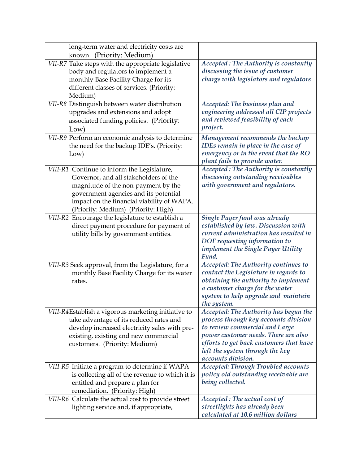| long-term water and electricity costs are                                         |                                                                            |
|-----------------------------------------------------------------------------------|----------------------------------------------------------------------------|
| known. (Priority: Medium)                                                         |                                                                            |
| VII-R7 Take steps with the appropriate legislative                                | <b>Accepted: The Authority is constantly</b>                               |
| body and regulators to implement a                                                | discussing the issue of customer                                           |
| monthly Base Facility Charge for its                                              | charge with legislators and regulators                                     |
| different classes of services. (Priority:                                         |                                                                            |
| Medium)                                                                           |                                                                            |
| VII-R8 Distinguish between water distribution                                     | Accepted: The business plan and                                            |
| upgrades and extensions and adopt                                                 | engineering addressed all CIP projects<br>and reviewed feasibility of each |
| associated funding policies. (Priority:                                           | project.                                                                   |
| Low)                                                                              |                                                                            |
| VII-R9 Perform an economic analysis to determine                                  | Management recommends the backup                                           |
| the need for the backup IDE's. (Priority:                                         | IDEs remain in place in the case of                                        |
| Low)                                                                              | emergency or in the event that the RO                                      |
|                                                                                   | plant fails to provide water.                                              |
| VIII-R1 Continue to inform the Legislature,                                       | <b>Accepted: The Authority is constantly</b>                               |
| Governor, and all stakeholders of the                                             | discussing outstanding receivables<br>with government and regulators.      |
| magnitude of the non-payment by the                                               |                                                                            |
| government agencies and its potential                                             |                                                                            |
| impact on the financial viability of WAPA.<br>(Priority: Medium) (Priority: High) |                                                                            |
| VIII-R2 Encourage the legislature to establish a                                  | <b>Single Payer fund was already</b>                                       |
| direct payment procedure for payment of                                           | established by law. Discussion with                                        |
| utility bills by government entities.                                             | current administration has resulted in                                     |
|                                                                                   | DOF requesting information to                                              |
|                                                                                   | implement the Single Payer Utility                                         |
|                                                                                   | Fund,                                                                      |
| VIII-R3 Seek approval, from the Legislature, for a                                | <b>Accepted: The Authority continues to</b>                                |
| monthly Base Facility Charge for its water                                        | contact the Legislature in regards to                                      |
| rates.                                                                            | obtaining the authority to implement                                       |
|                                                                                   | a customer charge for the water                                            |
|                                                                                   | system to help upgrade and maintain                                        |
|                                                                                   | the system.                                                                |
| VIII-R4Establish a vigorous marketing initiative to                               | Accepted: The Authority has begun the                                      |
| take advantage of its reduced rates and                                           | process through key accounts division                                      |
| develop increased electricity sales with pre-                                     | to review commercial and Large                                             |
| existing, existing and new commercial                                             | power customer needs. There are also                                       |
| customers. (Priority: Medium)                                                     | efforts to get back customers that have                                    |
|                                                                                   | left the system through the key<br>accounts division.                      |
| VIII-R5 Initiate a program to determine if WAPA                                   | <b>Accepted: Through Troubled accounts</b>                                 |
| is collecting all of the revenue to which it is                                   | policy old outstanding receivable are                                      |
| entitled and prepare a plan for                                                   | being collected.                                                           |
| remediation. (Priority: High)                                                     |                                                                            |
| VIII-R6 Calculate the actual cost to provide street                               | Accepted: The actual cost of                                               |
| lighting service and, if appropriate,                                             | streetlights has already been                                              |
|                                                                                   | calculated at 10.6 million dollars                                         |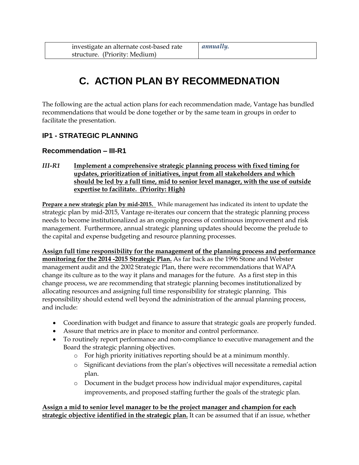# **C. ACTION PLAN BY RECOMMEDNATION**

The following are the actual action plans for each recommendation made, Vantage has bundled recommendations that would be done together or by the same team in groups in order to facilitate the presentation.

# **IP1 - STRATEGIC PLANNING**

#### **Recommendation – III-R1**

*III-R1* **Implement a comprehensive strategic planning process with fixed timing for updates, prioritization of initiatives, input from all stakeholders and which should be led by a full time, mid to senior level manager, with the use of outside expertise to facilitate. (Priority: High)**

**Prepare a new strategic plan by mid-2015.** While management has indicated its intent to update the strategic plan by mid-2015, Vantage re-iterates our concern that the strategic planning process needs to become institutionalized as an ongoing process of continuous improvement and risk management. Furthermore, annual strategic planning updates should become the prelude to the capital and expense budgeting and resource planning processes.

**Assign full time responsibility for the management of the planning process and performance monitoring for the 2014 -2015 Strategic Plan.** As far back as the 1996 Stone and Webster management audit and the 2002 Strategic Plan, there were recommendations that WAPA change its culture as to the way it plans and manages for the future. As a first step in this change process, we are recommending that strategic planning becomes institutionalized by allocating resources and assigning full time responsibility for strategic planning. This responsibility should extend well beyond the administration of the annual planning process, and include:

- Coordination with budget and finance to assure that strategic goals are properly funded.
- Assure that metrics are in place to monitor and control performance.
- To routinely report performance and non-compliance to executive management and the Board the strategic planning objectives.
	- o For high priority initiatives reporting should be at a minimum monthly.
	- o Significant deviations from the plan's objectives will necessitate a remedial action plan.
	- o Document in the budget process how individual major expenditures, capital improvements, and proposed staffing further the goals of the strategic plan.

**Assign a mid to senior level manager to be the project manager and champion for each strategic objective identified in the strategic plan.** It can be assumed that if an issue, whether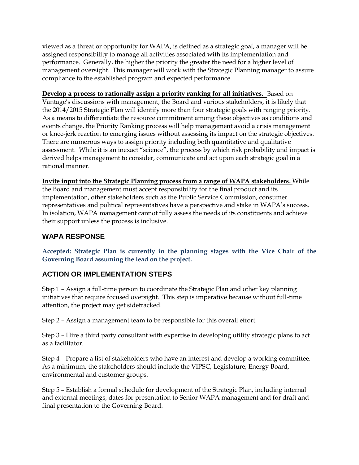viewed as a threat or opportunity for WAPA, is defined as a strategic goal, a manager will be assigned responsibility to manage all activities associated with its implementation and performance. Generally, the higher the priority the greater the need for a higher level of management oversight. This manager will work with the Strategic Planning manager to assure compliance to the established program and expected performance.

**Develop a process to rationally assign a priority ranking for all initiatives.** Based on Vantage's discussions with management, the Board and various stakeholders, it is likely that the 2014/2015 Strategic Plan will identify more than four strategic goals with ranging priority. As a means to differentiate the resource commitment among these objectives as conditions and events change, the Priority Ranking process will help management avoid a crisis management or knee-jerk reaction to emerging issues without assessing its impact on the strategic objectives. There are numerous ways to assign priority including both quantitative and qualitative assessment. While it is an inexact "science", the process by which risk probability and impact is derived helps management to consider, communicate and act upon each strategic goal in a rational manner.

**Invite input into the Strategic Planning process from a range of WAPA stakeholders.** While the Board and management must accept responsibility for the final product and its implementation, other stakeholders such as the Public Service Commission, consumer representatives and political representatives have a perspective and stake in WAPA's success. In isolation, WAPA management cannot fully assess the needs of its constituents and achieve their support unless the process is inclusive.

## **WAPA RESPONSE**

**Accepted: Strategic Plan is currently in the planning stages with the Vice Chair of the Governing Board assuming the lead on the project.**

# **ACTION OR IMPLEMENTATION STEPS**

Step 1 – Assign a full-time person to coordinate the Strategic Plan and other key planning initiatives that require focused oversight. This step is imperative because without full-time attention, the project may get sidetracked.

Step 2 – Assign a management team to be responsible for this overall effort.

Step 3 – Hire a third party consultant with expertise in developing utility strategic plans to act as a facilitator.

Step 4 – Prepare a list of stakeholders who have an interest and develop a working committee. As a minimum, the stakeholders should include the VIPSC, Legislature, Energy Board, environmental and customer groups.

Step 5 – Establish a formal schedule for development of the Strategic Plan, including internal and external meetings, dates for presentation to Senior WAPA management and for draft and final presentation to the Governing Board.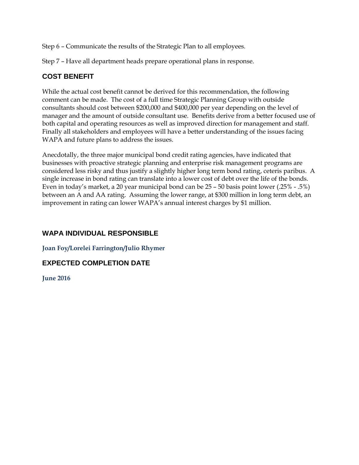Step 6 – Communicate the results of the Strategic Plan to all employees.

Step 7 – Have all department heads prepare operational plans in response.

# **COST BENEFIT**

While the actual cost benefit cannot be derived for this recommendation, the following comment can be made. The cost of a full time Strategic Planning Group with outside consultants should cost between \$200,000 and \$400,000 per year depending on the level of manager and the amount of outside consultant use. Benefits derive from a better focused use of both capital and operating resources as well as improved direction for management and staff. Finally all stakeholders and employees will have a better understanding of the issues facing WAPA and future plans to address the issues.

Anecdotally, the three major municipal bond credit rating agencies, have indicated that businesses with proactive strategic planning and enterprise risk management programs are considered less risky and thus justify a slightly higher long term bond rating, ceteris paribus. A single increase in bond rating can translate into a lower cost of debt over the life of the bonds. Even in today's market, a 20 year municipal bond can be 25 – 50 basis point lower (.25% - .5%) between an A and AA rating. Assuming the lower range, at \$300 million in long term debt, an improvement in rating can lower WAPA's annual interest charges by \$1 million.

# **WAPA INDIVIDUAL RESPONSIBLE**

#### **Joan Foy/Lorelei Farrington/Julio Rhymer**

# **EXPECTED COMPLETION DATE**

**June 2016**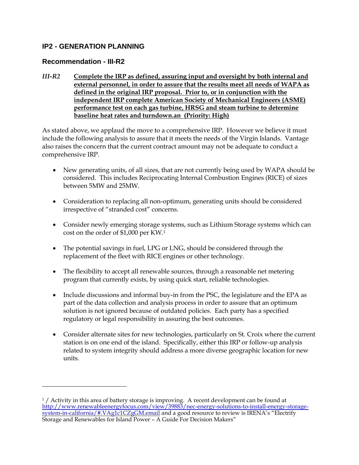#### **IP2 - GENERATION PLANNING**

#### **Recommendation - III-R2**

 $\overline{a}$ 

*III-R2* **Complete the IRP as defined, assuring input and oversight by both internal and external personnel, in order to assure that the results meet all needs of WAPA as defined in the original IRP proposal. Prior to, or in conjunction with the independent IRP complete American Society of Mechanical Engineers (ASME) performance test on each gas turbine, HRSG and steam turbine to determine baseline heat rates and turndown.an (Priority: High)**

As stated above, we applaud the move to a comprehensive IRP. However we believe it must include the following analysis to assure that it meets the needs of the Virgin Islands. Vantage also raises the concern that the current contract amount may not be adequate to conduct a comprehensive IRP.

- New generating units, of all sizes, that are not currently being used by WAPA should be considered. This includes Reciprocating Internal Combustion Engines (RICE) of sizes between 5MW and 25MW.
- Consideration to replacing all non-optimum, generating units should be considered irrespective of "stranded cost" concerns.
- Consider newly emerging storage systems, such as Lithium Storage systems which can cost on the order of \$1,000 per KW.<sup>1</sup>
- The potential savings in fuel, LPG or LNG, should be considered through the replacement of the fleet with RICE engines or other technology.
- The flexibility to accept all renewable sources, through a reasonable net metering program that currently exists, by using quick start, reliable technologies.
- Include discussions and informal buy-in from the PSC, the legislature and the EPA as part of the data collection and analysis process in order to assure that an optimum solution is not ignored because of outdated policies. Each party has a specified regulatory or legal responsibility in assuring the best outcomes.
- Consider alternate sites for new technologies, particularly on St. Croix where the current station is on one end of the island. Specifically, either this IRP or follow-up analysis related to system integrity should address a more diverse geographic location for new units.

<sup>&</sup>lt;sup>1</sup> / Activity in this area of battery storage is improving. A recent development can be found at [http://www.renewableenergyfocus.com/view/39883/nec-energy-solutions-to-install-energy-storage](http://www.renewableenergyfocus.com/view/39883/nec-energy-solutions-to-install-energy-storage-system-in-california/#.VAg1c1CZgGM.email)[system-in-california/#.VAg1c1CZgGM.email](http://www.renewableenergyfocus.com/view/39883/nec-energy-solutions-to-install-energy-storage-system-in-california/#.VAg1c1CZgGM.email) and a good resource to review is IRENA's "Electrify Storage and Renewables for Island Power – A Guide For Decision Makers"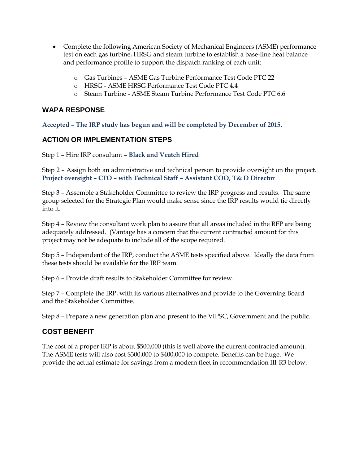- Complete the following American Society of Mechanical Engineers (ASME) performance test on each gas turbine, HRSG and steam turbine to establish a base-line heat balance and performance profile to support the dispatch ranking of each unit:
	- o Gas Turbines ASME Gas Turbine Performance Test Code PTC 22
	- o HRSG ASME HRSG Performance Test Code PTC 4.4
	- o Steam Turbine ASME Steam Turbine Performance Test Code PTC 6.6

#### **WAPA RESPONSE**

**Accepted – The IRP study has begun and will be completed by December of 2015.** 

#### **ACTION OR IMPLEMENTATION STEPS**

Step 1 – Hire IRP consultant – **Black and Veatch Hired**

Step 2 – Assign both an administrative and technical person to provide oversight on the project. **Project oversight – CFO – with Technical Staff – Assistant COO, T& D Director**

Step 3 – Assemble a Stakeholder Committee to review the IRP progress and results. The same group selected for the Strategic Plan would make sense since the IRP results would tie directly into it.

Step 4 – Review the consultant work plan to assure that all areas included in the RFP are being adequately addressed. (Vantage has a concern that the current contracted amount for this project may not be adequate to include all of the scope required.

Step 5 – Independent of the IRP, conduct the ASME tests specified above. Ideally the data from these tests should be available for the IRP team.

Step 6 – Provide draft results to Stakeholder Committee for review.

Step 7 – Complete the IRP, with its various alternatives and provide to the Governing Board and the Stakeholder Committee.

Step 8 – Prepare a new generation plan and present to the VIPSC, Government and the public.

#### **COST BENEFIT**

The cost of a proper IRP is about \$500,000 (this is well above the current contracted amount). The ASME tests will also cost \$300,000 to \$400,000 to compete. Benefits can be huge. We provide the actual estimate for savings from a modern fleet in recommendation III-R3 below.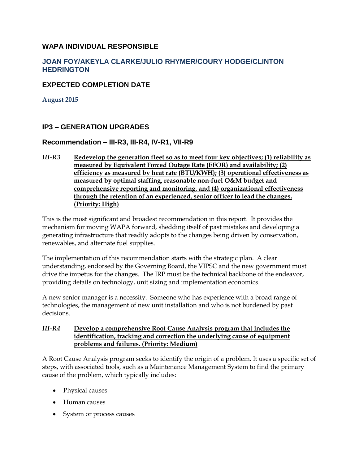#### **WAPA INDIVIDUAL RESPONSIBLE**

#### **JOAN FOY/AKEYLA CLARKE/JULIO RHYMER/COURY HODGE/CLINTON HEDRINGTON**

#### **EXPECTED COMPLETION DATE**

**August 2015**

#### **IP3 – GENERATION UPGRADES**

#### **Recommendation – III-R3, III-R4, IV-R1, VII-R9**

*III-R3* **Redevelop the generation fleet so as to meet four key objectives; (1) reliability as measured by Equivalent Forced Outage Rate (EFOR) and availability; (2) efficiency as measured by heat rate (BTU/KWH); (3) operational effectiveness as measured by optimal staffing, reasonable non-fuel O&M budget and comprehensive reporting and monitoring, and (4) organizational effectiveness through the retention of an experienced, senior officer to lead the changes. (Priority: High)**

This is the most significant and broadest recommendation in this report. It provides the mechanism for moving WAPA forward, shedding itself of past mistakes and developing a generating infrastructure that readily adopts to the changes being driven by conservation, renewables, and alternate fuel supplies.

The implementation of this recommendation starts with the strategic plan. A clear understanding, endorsed by the Governing Board, the VIPSC and the new government must drive the impetus for the changes. The IRP must be the technical backbone of the endeavor, providing details on technology, unit sizing and implementation economics.

A new senior manager is a necessity. Someone who has experience with a broad range of technologies, the management of new unit installation and who is not burdened by past decisions.

#### *III-R4* **Develop a comprehensive Root Cause Analysis program that includes the identification, tracking and correction the underlying cause of equipment problems and failures. (Priority: Medium)**

A Root Cause Analysis program seeks to identify the origin of a problem. It uses a specific set of steps, with associated tools, such as a Maintenance Management System to find the primary cause of the problem, which typically includes:

- Physical causes
- Human causes
- System or process causes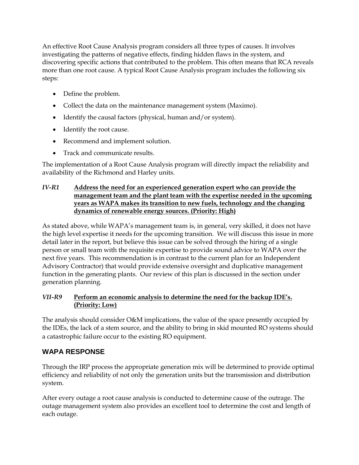An effective Root Cause Analysis program considers all three types of causes. It involves investigating the patterns of negative effects, finding hidden flaws in the system, and discovering specific actions that contributed to the problem. This often means that RCA reveals more than one root cause. A typical Root Cause Analysis program includes the following six steps:

- Define the problem.
- Collect the data on the maintenance management system (Maximo).
- Identify the causal factors (physical, human and/or system).
- Identify the root cause.
- Recommend and implement solution.
- Track and communicate results.

The implementation of a Root Cause Analysis program will directly impact the reliability and availability of the Richmond and Harley units.

#### *IV-R1* **Address the need for an experienced generation expert who can provide the management team and the plant team with the expertise needed in the upcoming years as WAPA makes its transition to new fuels, technology and the changing dynamics of renewable energy sources. (Priority: High)**

As stated above, while WAPA's management team is, in general, very skilled, it does not have the high level expertise it needs for the upcoming transition. We will discuss this issue in more detail later in the report, but believe this issue can be solved through the hiring of a single person or small team with the requisite expertise to provide sound advice to WAPA over the next five years. This recommendation is in contrast to the current plan for an Independent Advisory Contractor) that would provide extensive oversight and duplicative management function in the generating plants. Our review of this plan is discussed in the section under generation planning.

# *VII-R9* **Perform an economic analysis to determine the need for the backup IDE's. (Priority: Low)**

The analysis should consider O&M implications, the value of the space presently occupied by the IDEs, the lack of a stem source, and the ability to bring in skid mounted RO systems should a catastrophic failure occur to the existing RO equipment.

# **WAPA RESPONSE**

Through the IRP process the appropriate generation mix will be determined to provide optimal efficiency and reliability of not only the generation units but the transmission and distribution system.

After every outage a root cause analysis is conducted to determine cause of the outrage. The outage management system also provides an excellent tool to determine the cost and length of each outage.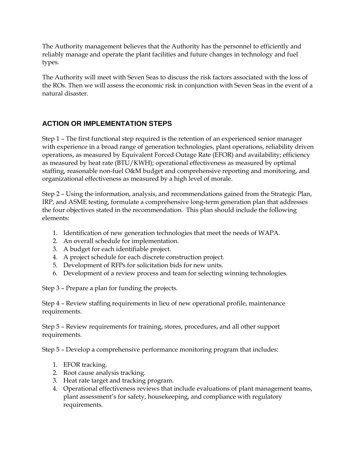The Authority management believes that the Authority has the personnel to efficiently and reliably manage and operate the plant facilities and future changes in technology and fuel types.

The Authority will meet with Seven Seas to discuss the risk factors associated with the loss of the ROs. Then we will assess the economic risk in conjunction with Seven Seas in the event of a natural disaster.

# **ACTION OR IMPLEMENTATION STEPS**

Step 1 – The first functional step required is the retention of an experienced senior manager with experience in a broad range of generation technologies, plant operations, reliability driven operations, as measured by Equivalent Forced Outage Rate (EFOR) and availability; efficiency as measured by heat rate (BTU/KWH); operational effectiveness as measured by optimal staffing, reasonable non-fuel O&M budget and comprehensive reporting and monitoring, and organizational effectiveness as measured by a high level of morale.

Step 2 – Using the information, analysis, and recommendations gained from the Strategic Plan, IRP, and ASME testing, formulate a comprehensive long-term generation plan that addresses the four objectives stated in the recommendation. This plan should include the following elements:

- 1. Identification of new generation technologies that meet the needs of WAPA.
- 2. An overall schedule for implementation.
- 3. A budget for each identifiable project.
- 4. A project schedule for each discrete construction project.
- 5. Development of RFPs for solicitation bids for new units.
- 6. Development of a review process and team for selecting winning technologies.

Step 3 – Prepare a plan for funding the projects.

Step 4 – Review staffing requirements in lieu of new operational profile, maintenance requirements.

Step 5 – Review requirements for training, stores, procedures, and all other support requirements.

Step 5 – Develop a comprehensive performance monitoring program that includes:

- 1. EFOR tracking.
- 2. Root cause analysis tracking.
- 3. Heat rate target and tracking program.
- 4. Operational effectiveness reviews that include evaluations of plant management teams, plant assessment's for safety, housekeeping, and compliance with regulatory requirements.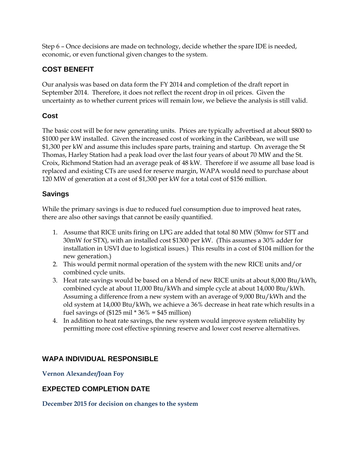Step 6 – Once decisions are made on technology, decide whether the spare IDE is needed, economic, or even functional given changes to the system.

# **COST BENEFIT**

Our analysis was based on data form the FY 2014 and completion of the draft report in September 2014. Therefore, it does not reflect the recent drop in oil prices. Given the uncertainty as to whether current prices will remain low, we believe the analysis is still valid.

# **Cost**

The basic cost will be for new generating units. Prices are typically advertised at about \$800 to \$1000 per kW installed. Given the increased cost of working in the Caribbean, we will use \$1,300 per kW and assume this includes spare parts, training and startup. On average the St Thomas, Harley Station had a peak load over the last four years of about 70 MW and the St. Croix, Richmond Station had an average peak of 48 kW. Therefore if we assume all base load is replaced and existing CTs are used for reserve margin, WAPA would need to purchase about 120 MW of generation at a cost of \$1,300 per kW for a total cost of \$156 million.

# **Savings**

While the primary savings is due to reduced fuel consumption due to improved heat rates, there are also other savings that cannot be easily quantified.

- 1. Assume that RICE units firing on LPG are added that total 80 MW (50mw for STT and 30mW for STX), with an installed cost \$1300 per kW. (This assumes a 30% adder for installation in USVI due to logistical issues.) This results in a cost of \$104 million for the new generation.)
- 2. This would permit normal operation of the system with the new RICE units and/or combined cycle units.
- 3. Heat rate savings would be based on a blend of new RICE units at about 8,000 Btu/kWh, combined cycle at about 11,000 Btu/kWh and simple cycle at about 14,000 Btu/kWh. Assuming a difference from a new system with an average of 9,000 Btu/kWh and the old system at 14,000 Btu/kWh, we achieve a 36% decrease in heat rate which results in a fuel savings of  $($125 \text{ mil} * 36\% = $45 \text{ million})$
- 4. In addition to heat rate savings, the new system would improve system reliability by permitting more cost effective spinning reserve and lower cost reserve alternatives.

# **WAPA INDIVIDUAL RESPONSIBLE**

**Vernon Alexander/Joan Foy**

# **EXPECTED COMPLETION DATE**

**December 2015 for decision on changes to the system**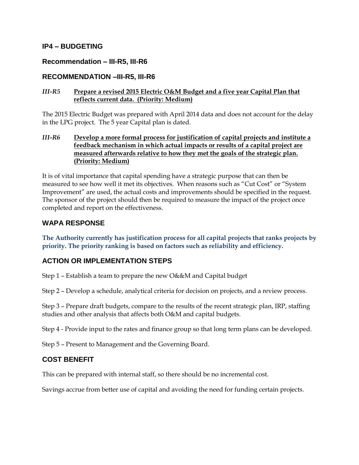#### **IP4 – BUDGETING**

#### **Recommendation – III-R5, III-R6**

#### **RECOMMENDATION –III-R5, III-R6**

#### *III-R5* **Prepare a revised 2015 Electric O&M Budget and a five year Capital Plan that reflects current data. (Priority: Medium)**

The 2015 Electric Budget was prepared with April 2014 data and does not account for the delay in the LPG project. The 5 year Capital plan is dated.

#### *III-R6* **Develop a more formal process for justification of capital projects and institute a feedback mechanism in which actual impacts or results of a capital project are measured afterwards relative to how they met the goals of the strategic plan. (Priority: Medium)**

It is of vital importance that capital spending have a strategic purpose that can then be measured to see how well it met its objectives. When reasons such as "Cut Cost" or "System Improvement" are used, the actual costs and improvements should be specified in the request. The sponsor of the project should then be required to measure the impact of the project once completed and report on the effectiveness.

#### **WAPA RESPONSE**

**The Authority currently has justification process for all capital projects that ranks projects by priority. The priority ranking is based on factors such as reliability and efficiency.**

#### **ACTION OR IMPLEMENTATION STEPS**

Step 1 – Establish a team to prepare the new O&&M and Capital budget

Step 2 – Develop a schedule, analytical criteria for decision on projects, and a review process.

Step 3 – Prepare draft budgets, compare to the results of the recent strategic plan, IRP, staffing studies and other analysis that affects both O&M and capital budgets.

Step 4 - Provide input to the rates and finance group so that long term plans can be developed.

Step 5 – Present to Management and the Governing Board.

#### **COST BENEFIT**

This can be prepared with internal staff, so there should be no incremental cost.

Savings accrue from better use of capital and avoiding the need for funding certain projects.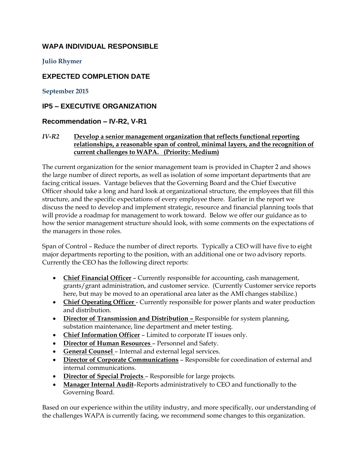# **WAPA INDIVIDUAL RESPONSIBLE**

#### **Julio Rhymer**

#### **EXPECTED COMPLETION DATE**

**September 2015**

#### **IP5 – EXECUTIVE ORGANIZATION**

#### **Recommendation – IV-R2, V-R1**

#### *IV-R2* **Develop a senior management organization that reflects functional reporting relationships, a reasonable span of control, minimal layers, and the recognition of current challenges to WAPA. (Priority: Medium)**

The current organization for the senior management team is provided in Chapter 2 and shows the large number of direct reports, as well as isolation of some important departments that are facing critical issues. Vantage believes that the Governing Board and the Chief Executive Officer should take a long and hard look at organizational structure, the employees that fill this structure, and the specific expectations of every employee there. Earlier in the report we discuss the need to develop and implement strategic, resource and financial planning tools that will provide a roadmap for management to work toward. Below we offer our guidance as to how the senior management structure should look, with some comments on the expectations of the managers in those roles.

Span of Control – Reduce the number of direct reports. Typically a CEO will have five to eight major departments reporting to the position, with an additional one or two advisory reports. Currently the CEO has the following direct reports:

- **Chief Financial Officer** Currently responsible for accounting, cash management, grants/grant administration, and customer service. (Currently Customer service reports here, but may be moved to an operational area later as the AMI changes stabilize.)
- **Chief Operating Officer**  Currently responsible for power plants and water production and distribution.
- **Director of Transmission and Distribution –** Responsible for system planning, substation maintenance, line department and meter testing.
- **Chief Information Officer** Limited to corporate IT issues only.
- **•** Director of Human Resources Personnel and Safety.
- **General Counsel**  Internal and external legal services.
- **Director of Corporate Communications** Responsible for coordination of external and internal communications.
- **Director of Special Projects**  Responsible for large projects.
- **Manager Internal Audit**–Reports administratively to CEO and functionally to the Governing Board.

Based on our experience within the utility industry, and more specifically, our understanding of the challenges WAPA is currently facing, we recommend some changes to this organization.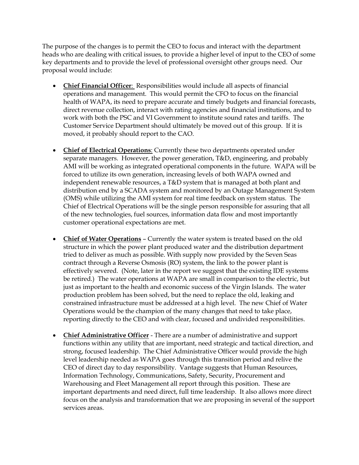The purpose of the changes is to permit the CEO to focus and interact with the department heads who are dealing with critical issues, to provide a higher level of input to the CEO of some key departments and to provide the level of professional oversight other groups need. Our proposal would include:

- **Chief Financial Officer**: Responsibilities would include all aspects of financial operations and management. This would permit the CFO to focus on the financial health of WAPA, its need to prepare accurate and timely budgets and financial forecasts, direct revenue collection, interact with rating agencies and financial institutions, and to work with both the PSC and VI Government to institute sound rates and tariffs. The Customer Service Department should ultimately be moved out of this group. If it is moved, it probably should report to the CAO.
- **Chief of Electrical Operations**: Currently these two departments operated under separate managers. However, the power generation, T&D, engineering, and probably AMI will be working as integrated operational components in the future. WAPA will be forced to utilize its own generation, increasing levels of both WAPA owned and independent renewable resources, a T&D system that is managed at both plant and distribution end by a SCADA system and monitored by an Outage Management System (OMS) while utilizing the AMI system for real time feedback on system status. The Chief of Electrical Operations will be the single person responsible for assuring that all of the new technologies, fuel sources, information data flow and most importantly customer operational expectations are met.
- **Chief of Water Operations** Currently the water system is treated based on the old structure in which the power plant produced water and the distribution department tried to deliver as much as possible. With supply now provided by the Seven Seas contract through a Reverse Osmosis (RO) system, the link to the power plant is effectively severed. (Note, later in the report we suggest that the existing IDE systems be retired.) The water operations at WAPA are small in comparison to the electric, but just as important to the health and economic success of the Virgin Islands. The water production problem has been solved, but the need to replace the old, leaking and constrained infrastructure must be addressed at a high level. The new Chief of Water Operations would be the champion of the many changes that need to take place, reporting directly to the CEO and with clear, focused and undivided responsibilities.
- **Chief Administrative Officer** There are a number of administrative and support functions within any utility that are important, need strategic and tactical direction, and strong, focused leadership. The Chief Administrative Officer would provide the high level leadership needed as WAPA goes through this transition period and relive the CEO of direct day to day responsibility. Vantage suggests that Human Resources, Information Technology, Communications, Safety, Security, Procurement and Warehousing and Fleet Management all report through this position. These are important departments and need direct, full time leadership. It also allows more direct focus on the analysis and transformation that we are proposing in several of the support services areas.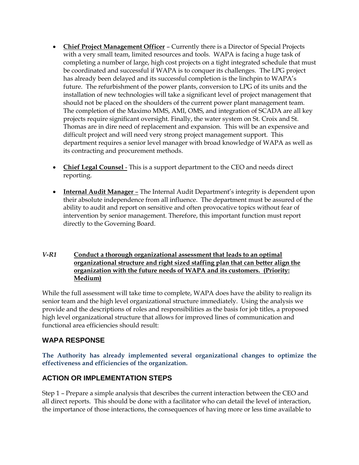- **Chief Project Management Officer** Currently there is a Director of Special Projects with a very small team, limited resources and tools. WAPA is facing a huge task of completing a number of large, high cost projects on a tight integrated schedule that must be coordinated and successful if WAPA is to conquer its challenges. The LPG project has already been delayed and its successful completion is the linchpin to WAPA's future. The refurbishment of the power plants, conversion to LPG of its units and the installation of new technologies will take a significant level of project management that should not be placed on the shoulders of the current power plant management team. The completion of the Maximo MMS, AMI, OMS, and integration of SCADA are all key projects require significant oversight. Finally, the water system on St. Croix and St. Thomas are in dire need of replacement and expansion. This will be an expensive and difficult project and will need very strong project management support. This department requires a senior level manager with broad knowledge of WAPA as well as its contracting and procurement methods.
- **Chief Legal Counsel** This is a support department to the CEO and needs direct reporting.
- **Internal Audit Manager** The Internal Audit Department's integrity is dependent upon their absolute independence from all influence. The department must be assured of the ability to audit and report on sensitive and often provocative topics without fear of intervention by senior management. Therefore, this important function must report directly to the Governing Board.

#### *V-R1* **Conduct a thorough organizational assessment that leads to an optimal organizational structure and right sized staffing plan that can better align the organization with the future needs of WAPA and its customers. (Priority: Medium)**

While the full assessment will take time to complete, WAPA does have the ability to realign its senior team and the high level organizational structure immediately. Using the analysis we provide and the descriptions of roles and responsibilities as the basis for job titles, a proposed high level organizational structure that allows for improved lines of communication and functional area efficiencies should result:

# **WAPA RESPONSE**

**The Authority has already implemented several organizational changes to optimize the effectiveness and efficiencies of the organization.**

# **ACTION OR IMPLEMENTATION STEPS**

Step 1 – Prepare a simple analysis that describes the current interaction between the CEO and all direct reports. This should be done with a facilitator who can detail the level of interaction, the importance of those interactions, the consequences of having more or less time available to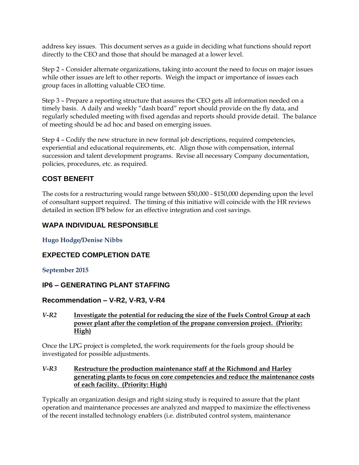address key issues. This document serves as a guide in deciding what functions should report directly to the CEO and those that should be managed at a lower level.

Step 2 – Consider alternate organizations, taking into account the need to focus on major issues while other issues are left to other reports. Weigh the impact or importance of issues each group faces in allotting valuable CEO time.

Step 3 – Prepare a reporting structure that assures the CEO gets all information needed on a timely basis. A daily and weekly "dash board" report should provide on the fly data, and regularly scheduled meeting with fixed agendas and reports should provide detail. The balance of meeting should be ad hoc and based on emerging issues.

Step 4 – Codify the new structure in new formal job descriptions, required competencies, experiential and educational requirements, etc. Align those with compensation, internal succession and talent development programs. Revise all necessary Company documentation, policies, procedures, etc. as required.

# **COST BENEFIT**

The costs for a restructuring would range between \$50,000 - \$150,000 depending upon the level of consultant support required. The timing of this initiative will coincide with the HR reviews detailed in section IP8 below for an effective integration and cost savings.

# **WAPA INDIVIDUAL RESPONSIBLE**

**Hugo Hodge/Denise Nibbs**

# **EXPECTED COMPLETION DATE**

**September 2015**

# **IP6 – GENERATING PLANT STAFFING**

# **Recommendation – V-R2, V-R3, V-R4**

#### *V-R2* **Investigate the potential for reducing the size of the Fuels Control Group at each power plant after the completion of the propane conversion project. (Priority: High)**

Once the LPG project is completed, the work requirements for the fuels group should be investigated for possible adjustments.

#### *V-R3* **Restructure the production maintenance staff at the Richmond and Harley generating plants to focus on core competencies and reduce the maintenance costs of each facility. (Priority: High)**

Typically an organization design and right sizing study is required to assure that the plant operation and maintenance processes are analyzed and mapped to maximize the effectiveness of the recent installed technology enablers (i.e. distributed control system, maintenance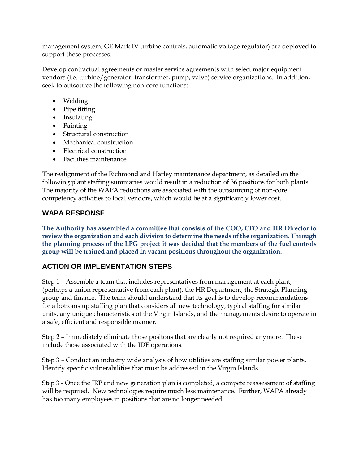management system, GE Mark IV turbine controls, automatic voltage regulator) are deployed to support these processes.

Develop contractual agreements or master service agreements with select major equipment vendors (i.e. turbine/generator, transformer, pump, valve) service organizations. In addition, seek to outsource the following non-core functions:

- Welding
- Pipe fitting
- Insulating
- Painting
- Structural construction
- Mechanical construction
- Electrical construction
- Facilities maintenance

The realignment of the Richmond and Harley maintenance department, as detailed on the following plant staffing summaries would result in a reduction of 36 positions for both plants. The majority of the WAPA reductions are associated with the outsourcing of non-core competency activities to local vendors, which would be at a significantly lower cost.

# **WAPA RESPONSE**

**The Authority has assembled a committee that consists of the COO, CFO and HR Director to review the organization and each division to determine the needs of the organization. Through the planning process of the LPG project it was decided that the members of the fuel controls group will be trained and placed in vacant positions throughout the organization.** 

# **ACTION OR IMPLEMENTATION STEPS**

Step 1 – Assemble a team that includes representatives from management at each plant, (perhaps a union representative from each plant), the HR Department, the Strategic Planning group and finance. The team should understand that its goal is to develop recommendations for a bottoms up staffing plan that considers all new technology, typical staffing for similar units, any unique characteristics of the Virgin Islands, and the managements desire to operate in a safe, efficient and responsible manner.

Step 2 – Immediately eliminate those positons that are clearly not required anymore. These include those associated with the IDE operations.

Step 3 – Conduct an industry wide analysis of how utilities are staffing similar power plants. Identify specific vulnerabilities that must be addressed in the Virgin Islands.

Step 3 - Once the IRP and new generation plan is completed, a compete reassessment of staffing will be required. New technologies require much less maintenance. Further, WAPA already has too many employees in positions that are no longer needed.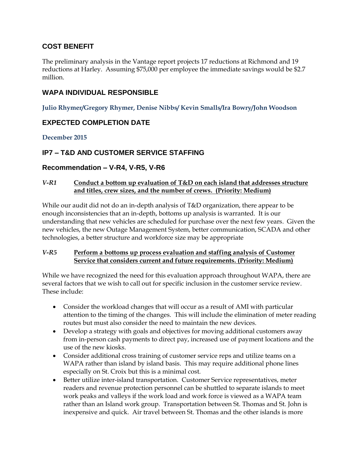# **COST BENEFIT**

The preliminary analysis in the Vantage report projects 17 reductions at Richmond and 19 reductions at Harley. Assuming \$75,000 per employee the immediate savings would be \$2.7 million.

#### **WAPA INDIVIDUAL RESPONSIBLE**

**Julio Rhymer/Gregory Rhymer, Denise Nibbs/ Kevin Smalls/Ira Bowry/John Woodson**

# **EXPECTED COMPLETION DATE**

**December 2015**

# **IP7 – T&D AND CUSTOMER SERVICE STAFFING**

#### **Recommendation – V-R4, V-R5, V-R6**

#### *V-R1* **Conduct a bottom up evaluation of T&D on each island that addresses structure and titles, crew sizes, and the number of crews. (Priority: Medium)**

While our audit did not do an in-depth analysis of T&D organization, there appear to be enough inconsistencies that an in-depth, bottoms up analysis is warranted. It is our understanding that new vehicles are scheduled for purchase over the next few years. Given the new vehicles, the new Outage Management System, better communication, SCADA and other technologies, a better structure and workforce size may be appropriate

#### *V-R5* **Perform a bottoms up process evaluation and staffing analysis of Customer Service that considers current and future requirements. (Priority: Medium)**

While we have recognized the need for this evaluation approach throughout WAPA, there are several factors that we wish to call out for specific inclusion in the customer service review. These include:

- Consider the workload changes that will occur as a result of AMI with particular attention to the timing of the changes. This will include the elimination of meter reading routes but must also consider the need to maintain the new devices.
- Develop a strategy with goals and objectives for moving additional customers away from in-person cash payments to direct pay, increased use of payment locations and the use of the new kiosks.
- Consider additional cross training of customer service reps and utilize teams on a WAPA rather than island by island basis. This may require additional phone lines especially on St. Croix but this is a minimal cost.
- Better utilize inter-island transportation. Customer Service representatives, meter readers and revenue protection personnel can be shuttled to separate islands to meet work peaks and valleys if the work load and work force is viewed as a WAPA team rather than an Island work group. Transportation between St. Thomas and St. John is inexpensive and quick. Air travel between St. Thomas and the other islands is more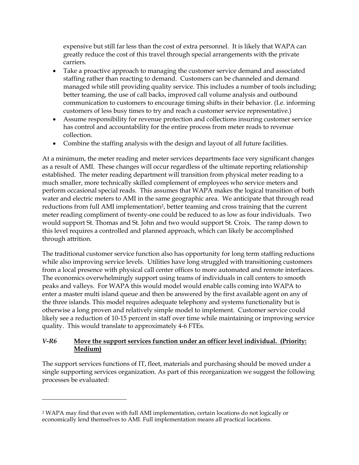expensive but still far less than the cost of extra personnel. It is likely that WAPA can greatly reduce the cost of this travel through special arrangements with the private carriers.

- Take a proactive approach to managing the customer service demand and associated staffing rather than reacting to demand. Customers can be channeled and demand managed while still providing quality service. This includes a number of tools including; better teaming, the use of call backs, improved call volume analysis and outbound communication to customers to encourage timing shifts in their behavior. (I.e. informing customers of less busy times to try and reach a customer service representative.)
- Assume responsibility for revenue protection and collections insuring customer service has control and accountability for the entire process from meter reads to revenue collection.
- Combine the staffing analysis with the design and layout of all future facilities.

At a minimum, the meter reading and meter services departments face very significant changes as a result of AMI. These changes will occur regardless of the ultimate reporting relationship established. The meter reading department will transition from physical meter reading to a much smaller, more technically skilled complement of employees who service meters and perform occasional special reads. This assumes that WAPA makes the logical transition of both water and electric meters to AMI in the same geographic area. We anticipate that through read reductions from full AMI implementation<sup>2</sup>, better teaming and cross training that the current meter reading compliment of twenty-one could be reduced to as low as four individuals. Two would support St. Thomas and St. John and two would support St. Croix. The ramp down to this level requires a controlled and planned approach, which can likely be accomplished through attrition.

The traditional customer service function also has opportunity for long term staffing reductions while also improving service levels. Utilities have long struggled with transitioning customers from a local presence with physical call center offices to more automated and remote interfaces. The economics overwhelmingly support using teams of individuals in call centers to smooth peaks and valleys. For WAPA this would model would enable calls coming into WAPA to enter a master multi island queue and then be answered by the first available agent on any of the three islands. This model requires adequate telephony and systems functionality but is otherwise a long proven and relatively simple model to implement. Customer service could likely see a reduction of 10-15 percent in staff over time while maintaining or improving service quality. This would translate to approximately 4-6 FTEs.

#### *V-R6* **Move the support services function under an officer level individual. (Priority: Medium)**

The support services functions of IT, fleet, materials and purchasing should be moved under a single supporting services organization. As part of this reorganization we suggest the following processes be evaluated:

 $\overline{a}$ 

<sup>2</sup> WAPA may find that even with full AMI implementation, certain locations do not logically or economically lend themselves to AMI. Full implementation means all practical locations.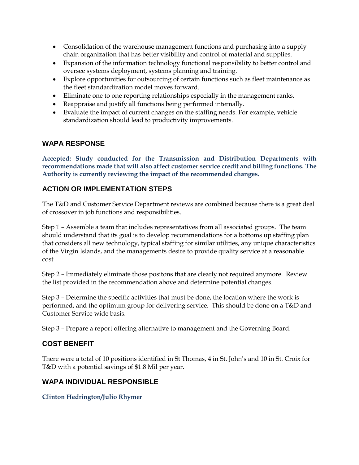- Consolidation of the warehouse management functions and purchasing into a supply chain organization that has better visibility and control of material and supplies.
- Expansion of the information technology functional responsibility to better control and oversee systems deployment, systems planning and training.
- Explore opportunities for outsourcing of certain functions such as fleet maintenance as the fleet standardization model moves forward.
- Eliminate one to one reporting relationships especially in the management ranks.
- Reappraise and justify all functions being performed internally.
- Evaluate the impact of current changes on the staffing needs. For example, vehicle standardization should lead to productivity improvements.

#### **WAPA RESPONSE**

**Accepted: Study conducted for the Transmission and Distribution Departments with recommendations made that will also affect customer service credit and billing functions. The Authority is currently reviewing the impact of the recommended changes.** 

# **ACTION OR IMPLEMENTATION STEPS**

The T&D and Customer Service Department reviews are combined because there is a great deal of crossover in job functions and responsibilities.

Step 1 – Assemble a team that includes representatives from all associated groups. The team should understand that its goal is to develop recommendations for a bottoms up staffing plan that considers all new technology, typical staffing for similar utilities, any unique characteristics of the Virgin Islands, and the managements desire to provide quality service at a reasonable cost

Step 2 – Immediately eliminate those positons that are clearly not required anymore. Review the list provided in the recommendation above and determine potential changes.

Step 3 – Determine the specific activities that must be done, the location where the work is performed, and the optimum group for delivering service. This should be done on a T&D and Customer Service wide basis.

Step 3 – Prepare a report offering alternative to management and the Governing Board.

# **COST BENEFIT**

There were a total of 10 positions identified in St Thomas, 4 in St. John's and 10 in St. Croix for T&D with a potential savings of \$1.8 Mil per year.

# **WAPA INDIVIDUAL RESPONSIBLE**

#### **Clinton Hedrington/Julio Rhymer**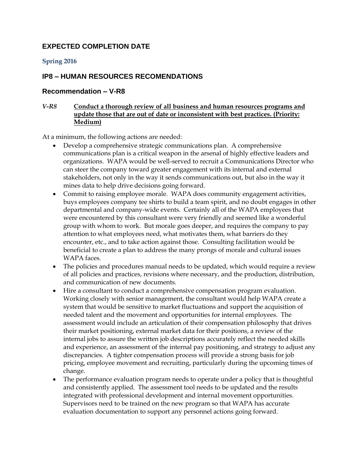# **EXPECTED COMPLETION DATE**

#### **Spring 2016**

#### **IP8 – HUMAN RESOURCES RECOMENDATIONS**

#### **Recommendation – V-R8**

#### *V-R8* **Conduct a thorough review of all business and human resources programs and update those that are out of date or inconsistent with best practices. (Priority: Medium)**

At a minimum, the following actions are needed:

- Develop a comprehensive strategic communications plan. A comprehensive communications plan is a critical weapon in the arsenal of highly effective leaders and organizations. WAPA would be well-served to recruit a Communications Director who can steer the company toward greater engagement with its internal and external stakeholders, not only in the way it sends communications out, but also in the way it mines data to help drive decisions going forward.
- Commit to raising employee morale. WAPA does community engagement activities, buys employees company tee shirts to build a team spirit, and no doubt engages in other departmental and company-wide events. Certainly all of the WAPA employees that were encountered by this consultant were very friendly and seemed like a wonderful group with whom to work. But morale goes deeper, and requires the company to pay attention to what employees need, what motivates them, what barriers do they encounter, etc., and to take action against those. Consulting facilitation would be beneficial to create a plan to address the many prongs of morale and cultural issues WAPA faces.
- The policies and procedures manual needs to be updated, which would require a review of all policies and practices, revisions where necessary, and the production, distribution, and communication of new documents.
- Hire a consultant to conduct a comprehensive compensation program evaluation. Working closely with senior management, the consultant would help WAPA create a system that would be sensitive to market fluctuations and support the acquisition of needed talent and the movement and opportunities for internal employees. The assessment would include an articulation of their compensation philosophy that drives their market positioning, external market data for their positions, a review of the internal jobs to assure the written job descriptions accurately reflect the needed skills and experience, an assessment of the internal pay positioning, and strategy to adjust any discrepancies. A tighter compensation process will provide a strong basis for job pricing, employee movement and recruiting, particularly during the upcoming times of change.
- The performance evaluation program needs to operate under a policy that is thoughtful and consistently applied. The assessment tool needs to be updated and the results integrated with professional development and internal movement opportunities. Supervisors need to be trained on the new program so that WAPA has accurate evaluation documentation to support any personnel actions going forward.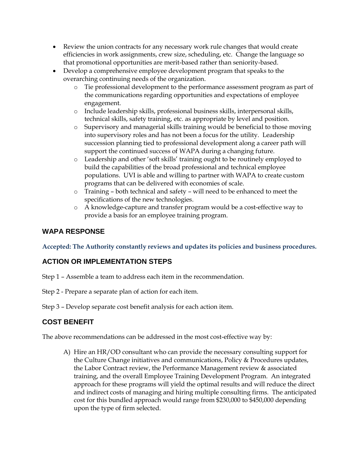- Review the union contracts for any necessary work rule changes that would create efficiencies in work assignments, crew size, scheduling, etc. Change the language so that promotional opportunities are merit-based rather than seniority-based.
- Develop a comprehensive employee development program that speaks to the overarching continuing needs of the organization.
	- o Tie professional development to the performance assessment program as part of the communications regarding opportunities and expectations of employee engagement.
	- o Include leadership skills, professional business skills, interpersonal skills, technical skills, safety training, etc. as appropriate by level and position.
	- o Supervisory and managerial skills training would be beneficial to those moving into supervisory roles and has not been a focus for the utility. Leadership succession planning tied to professional development along a career path will support the continued success of WAPA during a changing future.
	- o Leadership and other 'soft skills' training ought to be routinely employed to build the capabilities of the broad professional and technical employee populations. UVI is able and willing to partner with WAPA to create custom programs that can be delivered with economies of scale.
	- o Training both technical and safety will need to be enhanced to meet the specifications of the new technologies.
	- o A knowledge-capture and transfer program would be a cost-effective way to provide a basis for an employee training program.

## **WAPA RESPONSE**

**Accepted: The Authority constantly reviews and updates its policies and business procedures.** 

# **ACTION OR IMPLEMENTATION STEPS**

- Step 1 Assemble a team to address each item in the recommendation.
- Step 2 Prepare a separate plan of action for each item.

Step 3 – Develop separate cost benefit analysis for each action item.

# **COST BENEFIT**

The above recommendations can be addressed in the most cost-effective way by:

A) Hire an HR/OD consultant who can provide the necessary consulting support for the Culture Change initiatives and communications, Policy & Procedures updates, the Labor Contract review, the Performance Management review & associated training, and the overall Employee Training Development Program. An integrated approach for these programs will yield the optimal results and will reduce the direct and indirect costs of managing and hiring multiple consulting firms. The anticipated cost for this bundled approach would range from \$230,000 to \$450,000 depending upon the type of firm selected.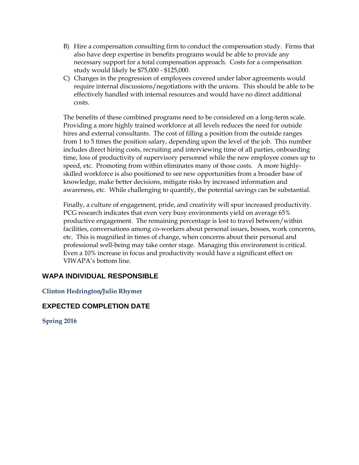- B) Hire a compensation consulting firm to conduct the compensation study. Firms that also have deep expertise in benefits programs would be able to provide any necessary support for a total compensation approach. Costs for a compensation study would likely be \$75,000 - \$125,000.
- C) Changes in the progression of employees covered under labor agreements would require internal discussions/negotiations with the unions. This should be able to be effectively handled with internal resources and would have no direct additional costs.

The benefits of these combined programs need to be considered on a long-term scale. Providing a more highly trained workforce at all levels reduces the need for outside hires and external consultants. The cost of filling a position from the outside ranges from 1 to 5 times the position salary, depending upon the level of the job. This number includes direct hiring costs, recruiting and interviewing time of all parties, onboarding time, loss of productivity of supervisory personnel while the new employee comes up to speed, etc. Promoting from within eliminates many of those costs. A more highlyskilled workforce is also positioned to see new opportunities from a broader base of knowledge, make better decisions, mitigate risks by increased information and awareness, etc. While challenging to quantify, the potential savings can be substantial.

Finally, a culture of engagement, pride, and creativity will spur increased productivity. PCG research indicates that even very busy environments yield on average 65% productive engagement. The remaining percentage is lost to travel between/within facilities, conversations among co-workers about personal issues, bosses, work concerns, etc. This is magnified in times of change, when concerns about their personal and professional well-being may take center stage. Managing this environment is critical. Even a 10% increase in focus and productivity would have a significant effect on VIWAPA's bottom line.

#### **WAPA INDIVIDUAL RESPONSIBLE**

**Clinton Hedrington/Julio Rhymer**

#### **EXPECTED COMPLETION DATE**

**Spring 2016**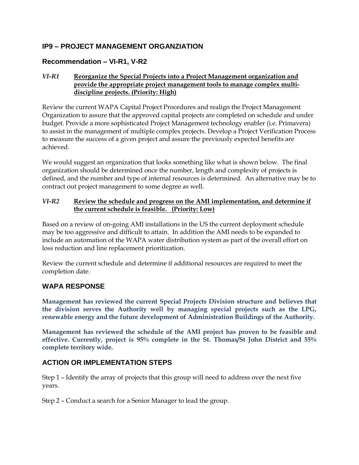# **IP9 – PROJECT MANAGEMENT ORGANZIATION**

### **Recommendation – VI-R1, V-R2**

#### *VI-R1* **Reorganize the Special Projects into a Project Management organization and provide the appropriate project management tools to manage complex multidiscipline projects. (Priority: High)**

Review the current WAPA Capital Project Procedures and realign the Project Management Organization to assure that the approved capital projects are completed on schedule and under budget. Provide a more sophisticated Project Management technology enabler (i.e. Primavera) to assist in the management of multiple complex projects. Develop a Project Verification Process to measure the success of a given project and assure the previously expected benefits are achieved.

We would suggest an organization that looks something like what is shown below. The final organization should be determined once the number, length and complexity of projects is defined, and the number and type of internal resources is determined. An alternative may be to contract out project management to some degree as well.

#### *VI-R2* **Review the schedule and progress on the AMI implementation, and determine if the current schedule is feasible. (Priority: Low)**

Based on a review of on-going AMI installations in the US the current deployment schedule may be too aggressive and difficult to attain. In addition the AMI needs to be expanded to include an automation of the WAPA water distribution system as part of the overall effort on loss reduction and line replacement prioritization.

Review the current schedule and determine if additional resources are required to meet the completion date.

#### **WAPA RESPONSE**

**Management has reviewed the current Special Projects Division structure and believes that the division serves the Authority well by managing special projects such as the LPG, renewable energy and the future development of Administration Buildings of the Authority.**

**Management has reviewed the schedule of the AMI project has proven to be feasible and effective. Currently, project is 95% complete in the St. Thomas/St John District and 55% complete territory wide.** 

# **ACTION OR IMPLEMENTATION STEPS**

Step 1 – Identify the array of projects that this group will need to address over the next five years.

Step 2 – Conduct a search for a Senior Manager to lead the group.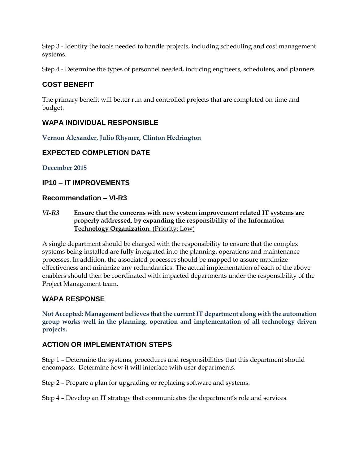Step 3 - Identify the tools needed to handle projects, including scheduling and cost management systems.

Step 4 - Determine the types of personnel needed, inducing engineers, schedulers, and planners

# **COST BENEFIT**

The primary benefit will better run and controlled projects that are completed on time and budget.

# **WAPA INDIVIDUAL RESPONSIBLE**

**Vernon Alexander, Julio Rhymer, Clinton Hedrington**

# **EXPECTED COMPLETION DATE**

**December 2015**

#### **IP10 – IT IMPROVEMENTS**

#### **Recommendation – VI-R3**

#### *VI-R3* **Ensure that the concerns with new system improvement related IT systems are properly addressed, by expanding the responsibility of the Information Technology Organization.** (Priority: Low)

A single department should be charged with the responsibility to ensure that the complex systems being installed are fully integrated into the planning, operations and maintenance processes. In addition, the associated processes should be mapped to assure maximize effectiveness and minimize any redundancies. The actual implementation of each of the above enablers should then be coordinated with impacted departments under the responsibility of the Project Management team.

# **WAPA RESPONSE**

**Not Accepted: Management believes that the current IT department along with the automation group works well in the planning, operation and implementation of all technology driven projects.** 

# **ACTION OR IMPLEMENTATION STEPS**

Step 1 – Determine the systems, procedures and responsibilities that this department should encompass. Determine how it will interface with user departments.

Step 2 – Prepare a plan for upgrading or replacing software and systems.

Step 4 – Develop an IT strategy that communicates the department's role and services.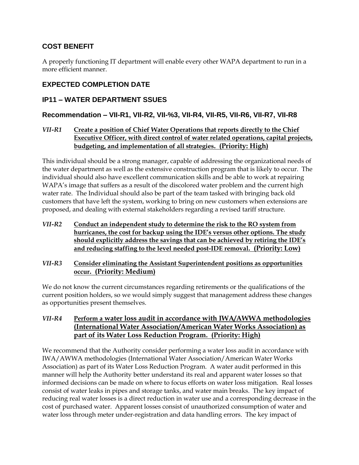# **COST BENEFIT**

A properly functioning IT department will enable every other WAPA department to run in a more efficient manner.

# **EXPECTED COMPLETION DATE**

# **IP11 – WATER DEPARTMENT SSUES**

# **Recommendation – VII-R1, VII-R2, VII-%3, VII-R4, VII-R5, VII-R6, VII-R7, VII-R8**

#### *VII-R1* **Create a position of Chief Water Operations that reports directly to the Chief Executive Officer, with direct control of water related operations, capital projects, budgeting, and implementation of all strategies. (Priority: High)**

This individual should be a strong manager, capable of addressing the organizational needs of the water department as well as the extensive construction program that is likely to occur. The individual should also have excellent communication skills and be able to work at repairing WAPA's image that suffers as a result of the discolored water problem and the current high water rate. The Individual should also be part of the team tasked with bringing back old customers that have left the system, working to bring on new customers when extensions are proposed, and dealing with external stakeholders regarding a revised tariff structure.

- *VII-R2* **Conduct an independent study to determine the risk to the RO system from hurricanes, the cost for backup using the IDE's versus other options. The study should explicitly address the savings that can be achieved by retiring the IDE's and reducing staffing to the level needed post-IDE removal. (Priority: Low)**
- *VII-R3* **Consider eliminating the Assistant Superintendent positions as opportunities occur. (Priority: Medium)**

We do not know the current circumstances regarding retirements or the qualifications of the current position holders, so we would simply suggest that management address these changes as opportunities present themselves.

*VII-R4* **Perform a water loss audit in accordance with IWA/AWWA methodologies (International Water Association/American Water Works Association) as part of its Water Loss Reduction Program. (Priority: High)**

We recommend that the Authority consider performing a water loss audit in accordance with IWA/AWWA methodologies (International Water Association/American Water Works Association) as part of its Water Loss Reduction Program. A water audit performed in this manner will help the Authority better understand its real and apparent water losses so that informed decisions can be made on where to focus efforts on water loss mitigation. Real losses consist of water leaks in pipes and storage tanks, and water main breaks. The key impact of reducing real water losses is a direct reduction in water use and a corresponding decrease in the cost of purchased water. Apparent losses consist of unauthorized consumption of water and water loss through meter under-registration and data handling errors. The key impact of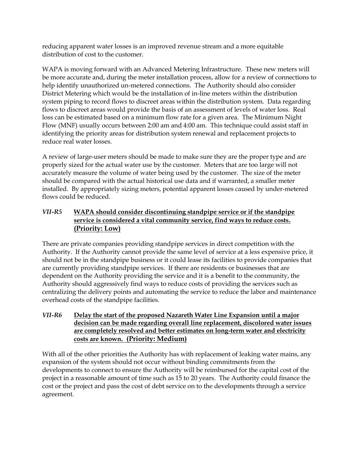reducing apparent water losses is an improved revenue stream and a more equitable distribution of cost to the customer.

WAPA is moving forward with an Advanced Metering Infrastructure. These new meters will be more accurate and, during the meter installation process, allow for a review of connections to help identify unauthorized un-metered connections. The Authority should also consider District Metering which would be the installation of in-line meters within the distribution system piping to record flows to discreet areas within the distribution system. Data regarding flows to discreet areas would provide the basis of an assessment of levels of water loss. Real loss can be estimated based on a minimum flow rate for a given area. The Minimum Night Flow (MNF) usually occurs between 2:00 am and 4:00 am. This technique could assist staff in identifying the priority areas for distribution system renewal and replacement projects to reduce real water losses.

A review of large-user meters should be made to make sure they are the proper type and are properly sized for the actual water use by the customer. Meters that are too large will not accurately measure the volume of water being used by the customer. The size of the meter should be compared with the actual historical use data and if warranted, a smaller meter installed. By appropriately sizing meters, potential apparent losses caused by under-metered flows could be reduced.

#### *VII-R5* **WAPA should consider discontinuing standpipe service or if the standpipe service is considered a vital community service, find ways to reduce costs. (Priority: Low)**

There are private companies providing standpipe services in direct competition with the Authority. If the Authority cannot provide the same level of service at a less expensive price, it should not be in the standpipe business or it could lease its facilities to provide companies that are currently providing standpipe services. If there are residents or businesses that are dependent on the Authority providing the service and it is a benefit to the community, the Authority should aggressively find ways to reduce costs of providing the services such as centralizing the delivery points and automating the service to reduce the labor and maintenance overhead costs of the standpipe facilities.

#### *VII-R6* **Delay the start of the proposed Nazareth Water Line Expansion until a major decision can be made regarding overall line replacement, discolored water issues are completely resolved and better estimates on long-term water and electricity costs are known. (Priority: Medium)**

With all of the other priorities the Authority has with replacement of leaking water mains, any expansion of the system should not occur without binding commitments from the developments to connect to ensure the Authority will be reimbursed for the capital cost of the project in a reasonable amount of time such as 15 to 20 years. The Authority could finance the cost or the project and pass the cost of debt service on to the developments through a service agreement.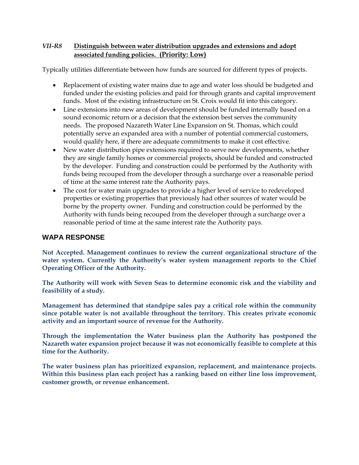#### *VII-R8* **Distinguish between water distribution upgrades and extensions and adopt associated funding policies. (Priority: Low)**

Typically utilities differentiate between how funds are sourced for different types of projects.

- Replacement of existing water mains due to age and water loss should be budgeted and funded under the existing policies and paid for through grants and capital improvement funds. Most of the existing infrastructure on St. Croix would fit into this category.
- Line extensions into new areas of development should be funded internally based on a sound economic return or a decision that the extension best serves the community needs. The proposed Nazareth Water Line Expansion on St. Thomas, which could potentially serve an expanded area with a number of potential commercial customers, would qualify here, if there are adequate commitments to make it cost effective.
- New water distribution pipe extensions required to serve new developments, whether they are single family homes or commercial projects, should be funded and constructed by the developer. Funding and construction could be performed by the Authority with funds being recouped from the developer through a surcharge over a reasonable period of time at the same interest rate the Authority pays.
- The cost for water main upgrades to provide a higher level of service to redeveloped properties or existing properties that previously had other sources of water would be borne by the property owner. Funding and construction could be performed by the Authority with funds being recouped from the developer through a surcharge over a reasonable period of time at the same interest rate the Authority pays.

#### **WAPA RESPONSE**

**Not Accepted. Management continues to review the current organizational structure of the water system. Currently the Authority's water system management reports to the Chief Operating Officer of the Authority.**

**The Authority will work with Seven Seas to determine economic risk and the viability and feasibility of a study.**

**Management has determined that standpipe sales pay a critical role within the community since potable water is not available throughout the territory. This creates private economic activity and an important source of revenue for the Authority.**

**Through the implementation the Water business plan the Authority has postponed the Nazareth water expansion project because it was not economically feasible to complete at this time for the Authority.**

**The water business plan has prioritized expansion, replacement, and maintenance projects. Within this business plan each project has a ranking based on either line loss improvement, customer growth, or revenue enhancement.**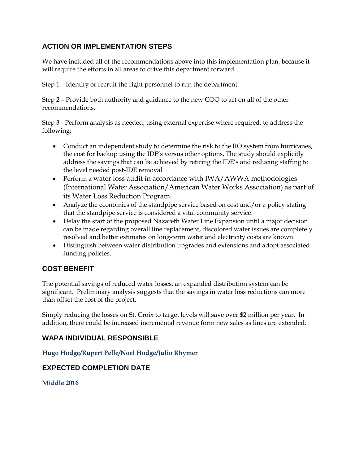# **ACTION OR IMPLEMENTATION STEPS**

We have included all of the recommendations above into this implementation plan, because it will require the efforts in all areas to drive this department forward.

Step 1 – Identify or recruit the right personnel to run the department.

Step 2 – Provide both authority and guidance to the new COO to act on all of the other recommendations.

Step 3 - Perform analysis as needed, using external expertise where required, to address the following:

- Conduct an independent study to determine the risk to the RO system from hurricanes, the cost for backup using the IDE's versus other options. The study should explicitly address the savings that can be achieved by retiring the IDE's and reducing staffing to the level needed post-IDE removal.
- Perform a water loss audit in accordance with IWA/AWWA methodologies (International Water Association/American Water Works Association) as part of its Water Loss Reduction Program.
- Analyze the economics of the standpipe service based on cost and/or a policy stating that the standpipe service is considered a vital community service.
- Delay the start of the proposed Nazareth Water Line Expansion until a major decision can be made regarding overall line replacement, discolored water issues are completely resolved and better estimates on long-term water and electricity costs are known.
- Distinguish between water distribution upgrades and extensions and adopt associated funding policies.

# **COST BENEFIT**

The potential savings of reduced water losses, an expanded distribution system can be significant. Preliminary analysis suggests that the savings in water loss reductions can more than offset the cost of the project.

Simply reducing the losses on St. Croix to target levels will save over \$2 million per year. In addition, there could be increased incremental revenue form new sales as lines are extended.

# **WAPA INDIVIDUAL RESPONSIBLE**

**Hugo Hodge/Rupert Pelle/Noel Hodge/Julio Rhymer**

# **EXPECTED COMPLETION DATE**

**Middle 2016**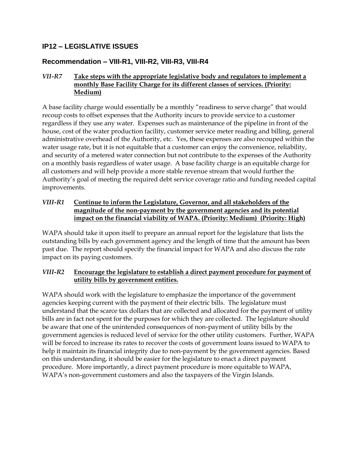# **IP12 – LEGISLATIVE ISSUES**

#### **Recommendation – VIII-R1, VIII-R2, VIII-R3, VIII-R4**

#### *VII-R7* **Take steps with the appropriate legislative body and regulators to implement a monthly Base Facility Charge for its different classes of services. (Priority: Medium)**

A base facility charge would essentially be a monthly "readiness to serve charge" that would recoup costs to offset expenses that the Authority incurs to provide service to a customer regardless if they use any water. Expenses such as maintenance of the pipeline in front of the house, cost of the water production facility, customer service meter reading and billing, general administrative overhead of the Authority, etc. Yes, these expenses are also recouped within the water usage rate, but it is not equitable that a customer can enjoy the convenience, reliability, and security of a metered water connection but not contribute to the expenses of the Authority on a monthly basis regardless of water usage. A base facility charge is an equitable charge for all customers and will help provide a more stable revenue stream that would further the Authority's goal of meeting the required debt service coverage ratio and funding needed capital improvements.

#### *VIII-R1* **Continue to inform the Legislature, Governor, and all stakeholders of the magnitude of the non-payment by the government agencies and its potential impact on the financial viability of WAPA. (Priority: Medium) (Priority: High)**

WAPA should take it upon itself to prepare an annual report for the legislature that lists the outstanding bills by each government agency and the length of time that the amount has been past due. The report should specify the financial impact for WAPA and also discuss the rate impact on its paying customers.

#### *VIII-R2* **Encourage the legislature to establish a direct payment procedure for payment of utility bills by government entities.**

WAPA should work with the legislature to emphasize the importance of the government agencies keeping current with the payment of their electric bills. The legislature must understand that the scarce tax dollars that are collected and allocated for the payment of utility bills are in fact not spent for the purposes for which they are collected. The legislature should be aware that one of the unintended consequences of non-payment of utility bills by the government agencies is reduced level of service for the other utility customers. Further, WAPA will be forced to increase its rates to recover the costs of government loans issued to WAPA to help it maintain its financial integrity due to non-payment by the government agencies. Based on this understanding, it should be easier for the legislature to enact a direct payment procedure. More importantly, a direct payment procedure is more equitable to WAPA, WAPA's non-government customers and also the taxpayers of the Virgin Islands.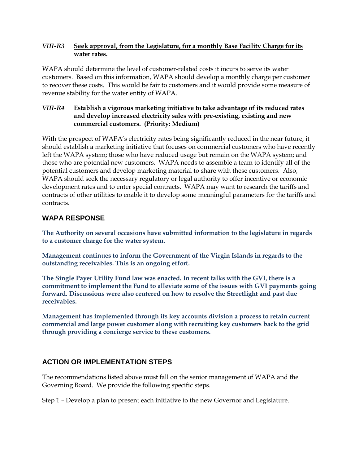#### *VIII-R3* **Seek approval, from the Legislature, for a monthly Base Facility Charge for its water rates.**

WAPA should determine the level of customer-related costs it incurs to serve its water customers. Based on this information, WAPA should develop a monthly charge per customer to recover these costs. This would be fair to customers and it would provide some measure of revenue stability for the water entity of WAPA.

#### *VIII-R4* **Establish a vigorous marketing initiative to take advantage of its reduced rates and develop increased electricity sales with pre-existing, existing and new commercial customers. (Priority: Medium)**

With the prospect of WAPA's electricity rates being significantly reduced in the near future, it should establish a marketing initiative that focuses on commercial customers who have recently left the WAPA system; those who have reduced usage but remain on the WAPA system; and those who are potential new customers. WAPA needs to assemble a team to identify all of the potential customers and develop marketing material to share with these customers. Also, WAPA should seek the necessary regulatory or legal authority to offer incentive or economic development rates and to enter special contracts. WAPA may want to research the tariffs and contracts of other utilities to enable it to develop some meaningful parameters for the tariffs and contracts.

#### **WAPA RESPONSE**

**The Authority on several occasions have submitted information to the legislature in regards to a customer charge for the water system.** 

**Management continues to inform the Government of the Virgin Islands in regards to the outstanding receivables. This is an ongoing effort.** 

**The Single Payer Utility Fund law was enacted. In recent talks with the GVI, there is a commitment to implement the Fund to alleviate some of the issues with GVI payments going forward. Discussions were also centered on how to resolve the Streetlight and past due receivables.**

**Management has implemented through its key accounts division a process to retain current commercial and large power customer along with recruiting key customers back to the grid through providing a concierge service to these customers.**

# **ACTION OR IMPLEMENTATION STEPS**

The recommendations listed above must fall on the senior management of WAPA and the Governing Board. We provide the following specific steps.

Step 1 – Develop a plan to present each initiative to the new Governor and Legislature.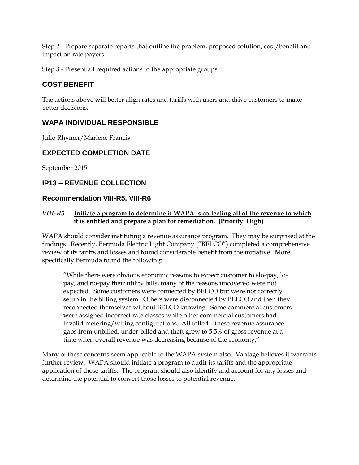Step 2 - Prepare separate reports that outline the problem, proposed solution, cost/benefit and impact on rate payers.

Step 3 - Present all required actions to the appropriate groups.

# **COST BENEFIT**

The actions above will better align rates and tariffs with users and drive customers to make better decisions.

# **WAPA INDIVIDUAL RESPONSIBLE**

Julio Rhymer/Marlene Francis

# **EXPECTED COMPLETION DATE**

September 2015

# **IP13 – REVENUE COLLECTION**

#### **Recommendation VIII-R5, VIII-R6**

#### *VIII-R5* **Initiate a program to determine if WAPA is collecting all of the revenue to which it is entitled and prepare a plan for remediation. (Priority: High)**

WAPA should consider instituting a revenue assurance program. They may be surprised at the findings. Recently, Bermuda Electric Light Company ("BELCO") completed a comprehensive review of its tariffs and losses and found considerable benefit from the initiative. More specifically Bermuda found the following:

"While there were obvious economic reasons to expect customer to slo-pay, lopay, and no-pay their utility bills, many of the reasons uncovered were not expected. Some customers were connected by BELCO but were not correctly setup in the billing system. Others were disconnected by BELCO and then they reconnected themselves without BELCO knowing. Some commercial customers were assigned incorrect rate classes while other commercial customers had invalid metering/wiring configurations. All tolled – these revenue assurance gaps from unbilled, under-billed and theft grew to 5.5% of gross revenue at a time when overall revenue was decreasing because of the economy."

Many of these concerns seem applicable to the WAPA system also. Vantage believes it warrants further review. WAPA should initiate a program to audit its tariffs and the appropriate application of those tariffs. The program should also identify and account for any losses and determine the potential to convert those losses to potential revenue.